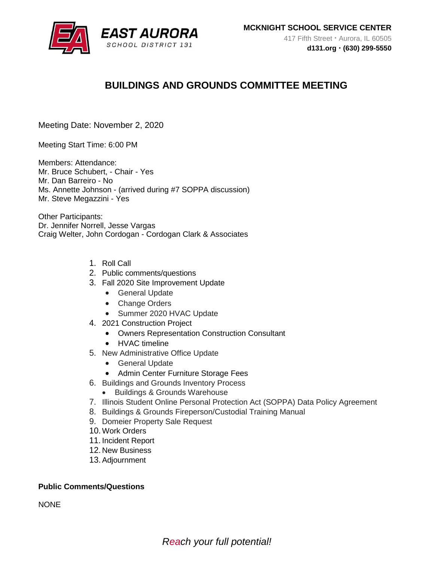

# **BUILDINGS AND GROUNDS COMMITTEE MEETING**

Meeting Date: November 2, 2020

Meeting Start Time: 6:00 PM

Members: Attendance: Mr. Bruce Schubert, - Chair - Yes Mr. Dan Barreiro - No Ms. Annette Johnson - (arrived during #7 SOPPA discussion) Mr. Steve Megazzini - Yes

Other Participants: Dr. Jennifer Norrell, Jesse Vargas Craig Welter, John Cordogan - Cordogan Clark & Associates

- 1. Roll Call
- 2. Public comments/questions
- 3. Fall 2020 Site Improvement Update
	- General Update
	- Change Orders
	- Summer 2020 HVAC Update
- 4. 2021 Construction Project
	- Owners Representation Construction Consultant
	- HVAC timeline
- 5. New Administrative Office Update
	- General Update
	- Admin Center Furniture Storage Fees
- 6. Buildings and Grounds Inventory Process
	- Buildings & Grounds Warehouse
- 7. Illinois Student Online Personal Protection Act (SOPPA) Data Policy Agreement
- 8. Buildings & Grounds Fireperson/Custodial Training Manual
- 9. Domeier Property Sale Request
- 10.Work Orders
- 11. Incident Report
- 12. New Business
- 13.Adjournment

## **Public Comments/Questions**

**NONE**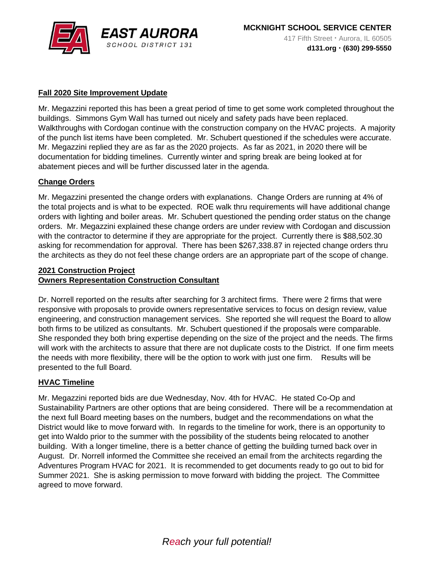

## **Fall 2020 Site Improvement Update**

Mr. Megazzini reported this has been a great period of time to get some work completed throughout the buildings. Simmons Gym Wall has turned out nicely and safety pads have been replaced. Walkthroughs with Cordogan continue with the construction company on the HVAC projects. A majority of the punch list items have been completed. Mr. Schubert questioned if the schedules were accurate. Mr. Megazzini replied they are as far as the 2020 projects. As far as 2021, in 2020 there will be documentation for bidding timelines. Currently winter and spring break are being looked at for abatement pieces and will be further discussed later in the agenda.

### **Change Orders**

Mr. Megazzini presented the change orders with explanations. Change Orders are running at 4% of the total projects and is what to be expected. ROE walk thru requirements will have additional change orders with lighting and boiler areas. Mr. Schubert questioned the pending order status on the change orders. Mr. Megazzini explained these change orders are under review with Cordogan and discussion with the contractor to determine if they are appropriate for the project. Currently there is \$88,502.30 asking for recommendation for approval. There has been \$267,338.87 in rejected change orders thru the architects as they do not feel these change orders are an appropriate part of the scope of change.

# **2021 Construction Project Owners Representation Construction Consultant**

Dr. Norrell reported on the results after searching for 3 architect firms. There were 2 firms that were responsive with proposals to provide owners representative services to focus on design review, value engineering, and construction management services. She reported she will request the Board to allow both firms to be utilized as consultants. Mr. Schubert questioned if the proposals were comparable. She responded they both bring expertise depending on the size of the project and the needs. The firms will work with the architects to assure that there are not duplicate costs to the District. If one firm meets the needs with more flexibility, there will be the option to work with just one firm. Results will be presented to the full Board.

### **HVAC Timeline**

Mr. Megazzini reported bids are due Wednesday, Nov. 4th for HVAC. He stated Co-Op and Sustainability Partners are other options that are being considered. There will be a recommendation at the next full Board meeting bases on the numbers, budget and the recommendations on what the District would like to move forward with. In regards to the timeline for work, there is an opportunity to get into Waldo prior to the summer with the possibility of the students being relocated to another building. With a longer timeline, there is a better chance of getting the building turned back over in August. Dr. Norrell informed the Committee she received an email from the architects regarding the Adventures Program HVAC for 2021. It is recommended to get documents ready to go out to bid for Summer 2021. She is asking permission to move forward with bidding the project. The Committee agreed to move forward.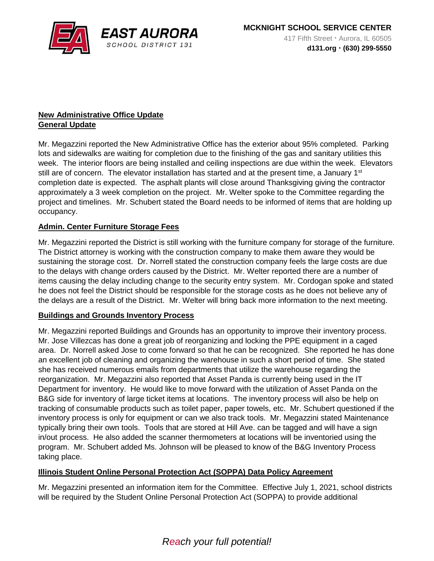

# **New Administrative Office Update General Update**

Mr. Megazzini reported the New Administrative Office has the exterior about 95% completed. Parking lots and sidewalks are waiting for completion due to the finishing of the gas and sanitary utilities this week. The interior floors are being installed and ceiling inspections are due within the week. Elevators still are of concern. The elevator installation has started and at the present time, a January  $1<sup>st</sup>$ completion date is expected. The asphalt plants will close around Thanksgiving giving the contractor approximately a 3 week completion on the project. Mr. Welter spoke to the Committee regarding the project and timelines. Mr. Schubert stated the Board needs to be informed of items that are holding up occupancy.

# **Admin. Center Furniture Storage Fees**

Mr. Megazzini reported the District is still working with the furniture company for storage of the furniture. The District attorney is working with the construction company to make them aware they would be sustaining the storage cost. Dr. Norrell stated the construction company feels the large costs are due to the delays with change orders caused by the District. Mr. Welter reported there are a number of items causing the delay including change to the security entry system. Mr. Cordogan spoke and stated he does not feel the District should be responsible for the storage costs as he does not believe any of the delays are a result of the District. Mr. Welter will bring back more information to the next meeting.

## **Buildings and Grounds Inventory Process**

Mr. Megazzini reported Buildings and Grounds has an opportunity to improve their inventory process. Mr. Jose Villezcas has done a great job of reorganizing and locking the PPE equipment in a caged area. Dr. Norrell asked Jose to come forward so that he can be recognized. She reported he has done an excellent job of cleaning and organizing the warehouse in such a short period of time. She stated she has received numerous emails from departments that utilize the warehouse regarding the reorganization. Mr. Megazzini also reported that Asset Panda is currently being used in the IT Department for inventory. He would like to move forward with the utilization of Asset Panda on the B&G side for inventory of large ticket items at locations. The inventory process will also be help on tracking of consumable products such as toilet paper, paper towels, etc. Mr. Schubert questioned if the inventory process is only for equipment or can we also track tools. Mr. Megazzini stated Maintenance typically bring their own tools. Tools that are stored at Hill Ave. can be tagged and will have a sign in/out process. He also added the scanner thermometers at locations will be inventoried using the program. Mr. Schubert added Ms. Johnson will be pleased to know of the B&G Inventory Process taking place.

### **Illinois Student Online Personal Protection Act (SOPPA) Data Policy Agreement**

Mr. Megazzini presented an information item for the Committee. Effective July 1, 2021, school districts will be required by the Student Online Personal Protection Act (SOPPA) to provide additional

# *Reach your full potential!*